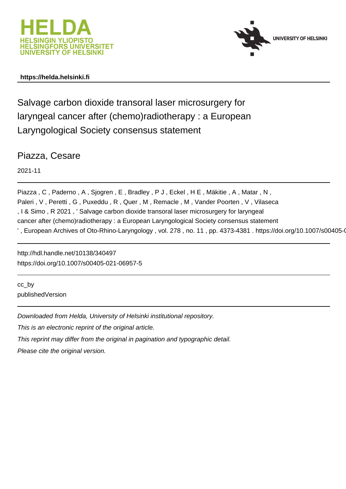



# **https://helda.helsinki.fi**

Salvage carbon dioxide transoral laser microsurgery for laryngeal cancer after (chemo)radiotherapy : a European Laryngological Society consensus statement

Piazza, Cesare

2021-11

Piazza , C , Paderno , A , Sjogren , E , Bradley , P J , Eckel , H E , Mäkitie , A , Matar , N , Paleri, V, Peretti, G, Puxeddu, R, Quer, M, Remacle, M, Vander Poorten, V, Vilaseca , I & Simo , R 2021 , ' Salvage carbon dioxide transoral laser microsurgery for laryngeal cancer after (chemo)radiotherapy : a European Laryngological Society consensus statement ', European Archives of Oto-Rhino-Laryngology, vol. 278, no. 11, pp. 4373-4381. https://doi.org/10.1007/s00405-0

http://hdl.handle.net/10138/340497 https://doi.org/10.1007/s00405-021-06957-5

cc\_by publishedVersion

Downloaded from Helda, University of Helsinki institutional repository.

This is an electronic reprint of the original article.

This reprint may differ from the original in pagination and typographic detail.

Please cite the original version.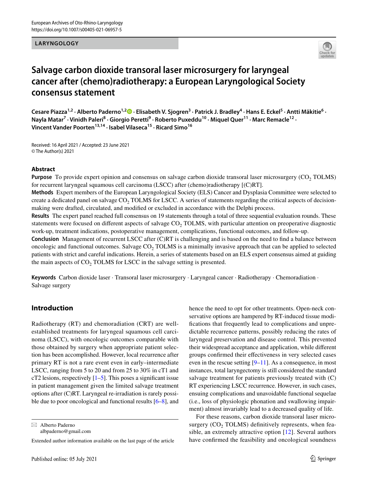### **LARYNGOLOGY**



# **Salvage carbon dioxide transoral laser microsurgery for laryngeal cancer after (chemo)radiotherapy: a European Laryngological Society consensus statement**

Cesare Piazza<sup>1,2</sup> [·](http://orcid.org/0000-0002-1621-2142) Alberto Paderno<sup>1,2</sup> D · Elisabeth V. Sjogren<sup>3</sup> · Patrick J. Bradley<sup>4</sup> · Hans E. Eckel<sup>5</sup> · Antti Mäkitie<sup>6</sup> · Nayla Matar<sup>7</sup> • Vinidh Paleri<sup>8</sup> • Giorgio Peretti<sup>9</sup> • Roberto Puxeddu<sup>10</sup> • Miquel Quer<sup>11</sup> • Marc Remacle<sup>12</sup> • **Vincent Vander Poorten13,14 · Isabel Vilaseca15 · Ricard Simo16**

Received: 16 April 2021 / Accepted: 23 June 2021 © The Author(s) 2021

#### **Abstract**

**Purpose** To provide expert opinion and consensus on salvage carbon dioxide transoral laser microsurgery (CO<sub>2</sub> TOLMS) for recurrent laryngeal squamous cell carcinoma (LSCC) after (chemo)radiotherapy [(C)RT].

**Methods** Expert members of the European Laryngological Society (ELS) Cancer and Dysplasia Committee were selected to create a dedicated panel on salvage  $CO<sub>2</sub> TOLMS$  for LSCC. A series of statements regarding the critical aspects of decisionmaking were drafted, circulated, and modifed or excluded in accordance with the Delphi process.

**Results** The expert panel reached full consensus on 19 statements through a total of three sequential evaluation rounds. These statements were focused on different aspects of salvage  $CO<sub>2</sub> TOLMS$ , with particular attention on preoperative diagnostic work-up, treatment indications, postoperative management, complications, functional outcomes, and follow-up.

**Conclusion** Management of recurrent LSCC after (C)RT is challenging and is based on the need to fnd a balance between oncologic and functional outcomes. Salvage  $CO<sub>2</sub> TOLMS$  is a minimally invasive approach that can be applied to selected patients with strict and careful indications. Herein, a series of statements based on an ELS expert consensus aimed at guiding the main aspects of  $CO<sub>2</sub>$  TOLMS for LSCC in the salvage setting is presented.

**Keywords** Carbon dioxide laser · Transoral laser microsurgery · Laryngeal cancer · Radiotherapy · Chemoradiation · Salvage surgery

### **Introduction**

Radiotherapy (RT) and chemoradiation (CRT) are wellestablished treatments for laryngeal squamous cell carcinoma (LSCC), with oncologic outcomes comparable with those obtained by surgery when appropriate patient selection has been accomplished. However, local recurrence after primary RT is not a rare event even in early–intermediate LSCC, ranging from 5 to 20 and from 25 to 30% in cT1 and cT2 lesions, respectively  $[1–5]$ . This poses a significant issue in patient management given the limited salvage treatment options after (C)RT. Laryngeal re-irradiation is rarely possible due to poor oncological and functional results [6–8], and

 $\boxtimes$  Alberto Paderno albpaderno@gmail.com

Extended author information available on the last page of the article

hence the need to opt for other treatments. Open-neck conservative options are hampered by RT-induced tissue modifcations that frequently lead to complications and unpredictable recurrence patterns, possibly reducing the rates of laryngeal preservation and disease control. This prevented their widespread acceptance and application, while diferent groups confrmed their efectiveness in very selected cases even in the rescue setting  $[9-11]$ . As a consequence, in most instances, total laryngectomy is still considered the standard salvage treatment for patients previously treated with (C) RT experiencing LSCC recurrence. However, in such cases, ensuing complications and unavoidable functional sequelae (i.e., loss of physiologic phonation and swallowing impairment) almost invariably lead to a decreased quality of life.

For these reasons, carbon dioxide transoral laser microsurgery  $(CO<sub>2</sub> TOLMS)$  definitively represents, when feasible, an extremely attractive option [12]. Several authors have confrmed the feasibility and oncological soundness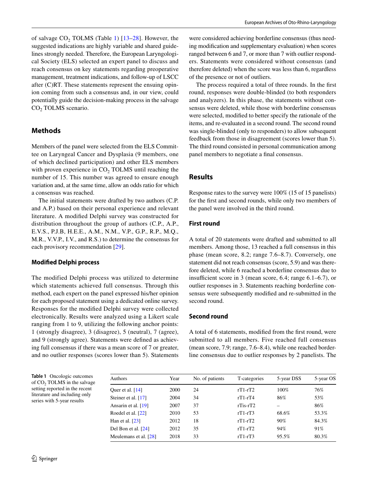of salvage  $CO<sub>2</sub>$ , TOLMS (Table 1) [13–28]. However, the suggested indications are highly variable and shared guidelines strongly needed. Therefore, the European Laryngological Society (ELS) selected an expert panel to discuss and reach consensus on key statements regarding preoperative management, treatment indications, and follow-up of LSCC after (C)RT. These statements represent the ensuing opinion coming from such a consensus and, in our view, could potentially guide the decision-making process in the salvage CO<sub>2</sub> TOLMS scenario.

### **Methods**

Members of the panel were selected from the ELS Committee on Laryngeal Cancer and Dysplasia (9 members, one of which declined participation) and other ELS members with proven experience in  $CO<sub>2</sub> TOLMS$  until reaching the number of 15. This number was agreed to ensure enough variation and, at the same time, allow an odds ratio for which a consensus was reached.

The initial statements were drafted by two authors (C.P. and A.P.) based on their personal experience and relevant literature. A modifed Delphi survey was constructed for distribution throughout the group of authors (C.P., A.P., E.V.S., P.J.B, H.E.E., A.M., N.M., V.P., G.P., R.P., M.Q., M.R., V.V.P., I.V., and R.S.) to determine the consensus for each provisory recommendation [29].

### **Modifed Delphi process**

The modified Delphi process was utilized to determine which statements achieved full consensus. Through this method, each expert on the panel expressed his/her opinion for each proposed statement using a dedicated online survey. Responses for the modifed Delphi survey were collected electronically. Results were analyzed using a Likert scale ranging from 1 to 9, utilizing the following anchor points: 1 (strongly disagree), 3 (disagree), 5 (neutral), 7 (agree), and 9 (strongly agree). Statements were defned as achieving full consensus if there was a mean score of 7 or greater, and no outlier responses (scores lower than 5). Statements

were considered achieving borderline consensus (thus needing modifcation and supplementary evaluation) when scores ranged between 6 and 7, or more than 7 with outlier responders. Statements were considered without consensus (and therefore deleted) when the score was less than 6, regardless of the presence or not of outliers.

The process required a total of three rounds. In the frst round, responses were double-blinded (to both responders and analyzers). In this phase, the statements without consensus were deleted, while those with borderline consensus were selected, modifed to better specify the rationale of the items, and re-evaluated in a second round. The second round was single-blinded (only to responders) to allow subsequent feedback from those in disagreement (scores lower than 5). The third round consisted in personal communication among panel members to negotiate a fnal consensus.

### **Results**

Response rates to the survey were 100% (15 of 15 panelists) for the frst and second rounds, while only two members of the panel were involved in the third round.

### **First round**

A total of 20 statements were drafted and submitted to all members. Among those, 13 reached a full consensus in this phase (mean score, 8.2; range 7.6–8.7). Conversely, one statement did not reach consensus (score, 5.9) and was therefore deleted, while 6 reached a borderline consensus due to insufficient score in 3 (mean score, 6.4; range  $6.1-6.7$ ), or outlier responses in 3. Statements reaching borderline consensus were subsequently modifed and re-submitted in the second round.

#### **Second round**

A total of 6 statements, modifed from the frst round, were submitted to all members. Five reached full consensus (mean score, 7.9; range, 7.6–8.4), while one reached borderline consensus due to outlier responses by 2 panelists. The

**Table 1** Oncologic outcomes of CO<sub>2</sub> TOLMS in the salvage setting reported in the recent literature and including only series with 5-year results

| Authors               | Year | No. of patients | T-categories    | 5-year DSS | 5-year OS |  |
|-----------------------|------|-----------------|-----------------|------------|-----------|--|
| Quer et al. $[14]$    | 2000 | 24              | $rT1-rT2$       | 100%       | 76%       |  |
| Steiner et al. [17]   | 2004 | 34              | $rT1-rT4$       | 86%        | 53%       |  |
| Ansarin et al. [19]   | 2007 | 37              | $r$ Tis- $r$ T2 |            | 86%       |  |
| Roedel et al. [22]    | 2010 | 53              | $rT1-rT3$       | 68.6%      | 53.3%     |  |
| Han et al. [23]       | 2012 | 18              | $rT1-rT2$       | 90%        | 84.3%     |  |
| Del Bon et al. [24]   | 2012 | 35              | $rT1-rT2$       | 94%        | 91%       |  |
| Meulemans et al. [28] | 2018 | 33              | $rT1-rT3$       | 95.5%      | 80.3%     |  |
|                       |      |                 |                 |            |           |  |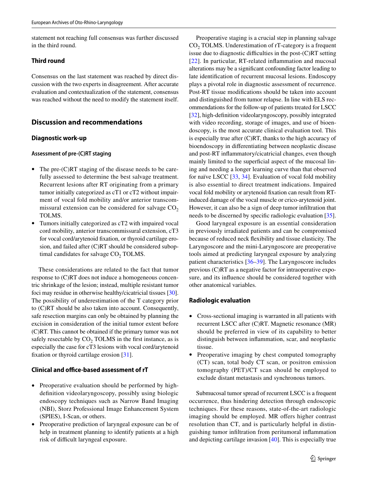statement not reaching full consensus was further discussed in the third round.

### **Third round**

Consensus on the last statement was reached by direct discussion with the two experts in disagreement. After accurate evaluation and contextualization of the statement, consensus was reached without the need to modify the statement itself.

### **Discussion and recommendations**

### **Diagnostic work‑up**

### **Assessment of pre‑(C)RT staging**

- The pre-(C)RT staging of the disease needs to be carefully assessed to determine the best salvage treatment. Recurrent lesions after RT originating from a primary tumor initially categorized as cT1 or cT2 without impairment of vocal fold mobility and/or anterior transcommissural extension can be considered for salvage  $CO<sub>2</sub>$ TOLMS.
- Tumors initially categorized as cT2 with impaired vocal cord mobility, anterior transcommissural extension, cT3 for vocal cord/arytenoid fxation, or thyroid cartilage erosion, and failed after (C)RT should be considered suboptimal candidates for salvage  $CO<sub>2</sub>$  TOLMS.

These considerations are related to the fact that tumor response to (C)RT does not induce a homogeneous concentric shrinkage of the lesion; instead, multiple resistant tumor foci may residue in otherwise healthy/cicatricial tissues [30]. The possibility of underestimation of the T category prior to (C)RT should be also taken into account. Consequently, safe resection margins can only be obtained by planning the excision in consideration of the initial tumor extent before (C)RT. This cannot be obtained if the primary tumor was not safely resectable by  $CO<sub>2</sub> TOLMS$  in the first instance, as is especially the case for cT3 lesions with vocal cord/arytenoid fxation or thyroid cartilage erosion [31].

### **Clinical and office-based assessment of rT**

- Preoperative evaluation should be performed by highdefnition videolaryngoscopy, possibly using biologic endoscopy techniques such as Narrow Band Imaging (NBI), Storz Professional Image Enhancement System (SPIES), I-Scan, or others.
- Preoperative prediction of laryngeal exposure can be of help in treatment planning to identify patients at a high risk of difficult laryngeal exposure.

Preoperative staging is a crucial step in planning salvage CO<sub>2</sub> TOLMS. Underestimation of rT-category is a frequent issue due to diagnostic difficulties in the post- $(C)RT$  setting [22]. In particular, RT-related inflammation and mucosal alterations may be a signifcant confounding factor leading to late identifcation of recurrent mucosal lesions. Endoscopy plays a pivotal role in diagnostic assessment of recurrence. Post-RT tissue modifcations should be taken into account and distinguished from tumor relapse. In line with ELS recommendations for the follow-up of patients treated for LSCC [32], high-defnition videolaryngoscopy, possibly integrated with video recording, storage of images, and use of bioendoscopy, is the most accurate clinical evaluation tool. This is especially true after (C)RT, thanks to the high accuracy of bioendoscopy in diferentiating between neoplastic disease and post-RT infammatory/cicatricial changes, even though mainly limited to the superficial aspect of the mucosal lining and needing a longer learning curve than that observed for naïve LSCC [33, 34]. Evaluation of vocal fold mobility is also essential to direct treatment indications. Impaired vocal fold mobility or arytenoid fxation can result from RTinduced damage of the vocal muscle or crico-arytenoid joint. However, it can also be a sign of deep tumor infltration that needs to be discerned by specifc radiologic evaluation [35].

Good laryngeal exposure is an essential consideration in previously irradiated patients and can be compromised because of reduced neck fexibility and tissue elasticity. The Laryngoscore and the mini-Laryngoscore are preoperative tools aimed at predicting laryngeal exposure by analyzing patient characteristics [36–39]. The Laryngoscore includes previous (C)RT as a negative factor for intraoperative exposure, and its infuence should be considered together with other anatomical variables.

### **Radiologic evaluation**

- Cross-sectional imaging is warranted in all patients with recurrent LSCC after (C)RT. Magnetic resonance (MR) should be preferred in view of its capability to better distinguish between infammation, scar, and neoplastic tissue.
- Preoperative imaging by chest computed tomography (CT) scan, total body CT scan, or positron emission tomography (PET)/CT scan should be employed to exclude distant metastasis and synchronous tumors.

Submucosal tumor spread of recurrent LSCC is a frequent occurrence, thus hindering detection through endoscopic techniques. For these reasons, state-of-the-art radiologic imaging should be employed. MR offers higher contrast resolution than CT, and is particularly helpful in distinguishing tumor infltration from peritumoral infammation and depicting cartilage invasion [40]. This is especially true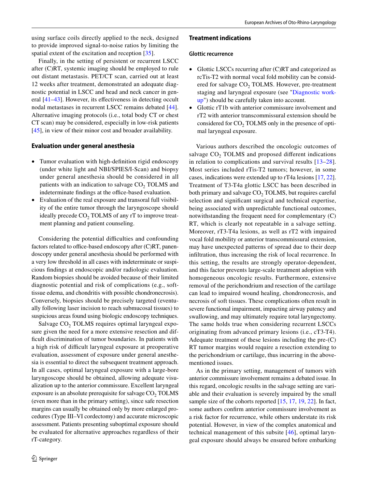using surface coils directly applied to the neck, designed to provide improved signal-to-noise ratios by limiting the spatial extent of the excitation and reception [35].

Finally, in the setting of persistent or recurrent LSCC after (C)RT, systemic imaging should be employed to rule out distant metastasis. PET/CT scan, carried out at least 12 weeks after treatment, demonstrated an adequate diagnostic potential in LSCC and head and neck cancer in general [41–43]. However, its efectiveness in detecting occult nodal metastases in recurrent LSCC remains debated [44]. Alternative imaging protocols (i.e., total body CT or chest CT scan) may be considered, especially in low-risk patients [45], in view of their minor cost and broader availability.

#### **Evaluation under general anesthesia**

- Tumor evaluation with high-defnition rigid endoscopy (under white light and NBI/SPIES/I-Scan) and biopsy under general anesthesia should be considered in all patients with an indication to salvage  $CO<sub>2</sub>$  TOLMS and indeterminate findings at the office-based evaluation.
- Evaluation of the real exposure and transoral full visibility of the entire tumor through the laryngoscope should ideally precede  $CO<sub>2</sub>$  TOLMS of any rT to improve treatment planning and patient counseling.

Considering the potential difficulties and confounding factors related to office-based endoscopy after  $(C)RT$ , panendoscopy under general anesthesia should be performed with a very low threshold in all cases with indeterminate or suspicious fndings at endoscopic and/or radiologic evaluation. Random biopsies should be avoided because of their limited diagnostic potential and risk of complications (e.g., softtissue edema, and chondritis with possible chondronecrosis). Conversely, biopsies should be precisely targeted (eventually following laser incision to reach submucosal tissues) to suspicious areas found using biologic endoscopy techniques.

Salvage CO<sub>2</sub> TOLMS requires optimal laryngeal exposure given the need for a more extensive resection and difficult discrimination of tumor boundaries. In patients with a high risk of difficult laryngeal exposure at preoperative evaluation, assessment of exposure under general anesthesia is essential to direct the subsequent treatment approach. In all cases, optimal laryngeal exposure with a large-bore laryngoscope should be obtained, allowing adequate visualization up to the anterior commissure. Excellent laryngeal exposure is an absolute prerequisite for salvage  $CO<sub>2</sub> TOLMS$ (even more than in the primary setting), since safe resection margins can usually be obtained only by more enlarged procedures (Type III–VI cordectomy) and accurate microscopic assessment. Patients presenting suboptimal exposure should be evaluated for alternative approaches regardless of their rT-category.

#### **Treatment indications**

#### **Glottic recurrence**

- Glottic LSCCs recurring after (C)RT and categorized as rcTis-T2 with normal vocal fold mobility can be considered for salvage CO<sub>2</sub> TOLMS. However, pre-treatment staging and laryngeal exposure (see "Diagnostic workup") should be carefully taken into account.
- Glottic rT1b with anterior commissure involvement and rT2 with anterior transcommissural extension should be considered for  $CO<sub>2</sub>$  TOLMS only in the presence of optimal laryngeal exposure.

Various authors described the oncologic outcomes of salvage  $CO<sub>2</sub>$  TOLMS and proposed different indications in relation to complications and survival results [13–28]. Most series included rTis-T2 tumors; however, in some cases, indications were extended up to rT4a lesions [17, 22]. Treatment of T3-T4a glottic LSCC has been described in both primary and salvage  $CO<sub>2</sub> TOLMS$ , but requires careful selection and signifcant surgical and technical expertise, being associated with unpredictable functional outcomes, notwithstanding the frequent need for complementary (C) RT, which is clearly not repeatable in a salvage setting. Moreover, rT3-T4a lesions, as well as rT2 with impaired vocal fold mobility or anterior transcommissural extension, may have unexpected patterns of spread due to their deep infltration, thus increasing the risk of local recurrence. In this setting, the results are strongly operator-dependent, and this factor prevents large-scale treatment adoption with homogeneous oncologic results. Furthermore, extensive removal of the perichondrium and resection of the cartilage can lead to impaired wound healing, chondronecrosis, and necrosis of soft tissues. These complications often result in severe functional impairment, impacting airway patency and swallowing, and may ultimately require total laryngectomy. The same holds true when considering recurrent LSCCs originating from advanced primary lesions (i.e., cT3-T4). Adequate treatment of these lesions including the pre-(C) RT tumor margins would require a resection extending to the perichondrium or cartilage, thus incurring in the abovementioned issues.

As in the primary setting, management of tumors with anterior commissure involvement remains a debated issue. In this regard, oncologic results in the salvage setting are variable and their evaluation is severely impaired by the small sample size of the cohorts reported [15, 17, 19, 22]. In fact, some authors confrm anterior commissure involvement as a risk factor for recurrence, while others understate its risk potential. However, in view of the complex anatomical and technical management of this subsite [46], optimal laryngeal exposure should always be ensured before embarking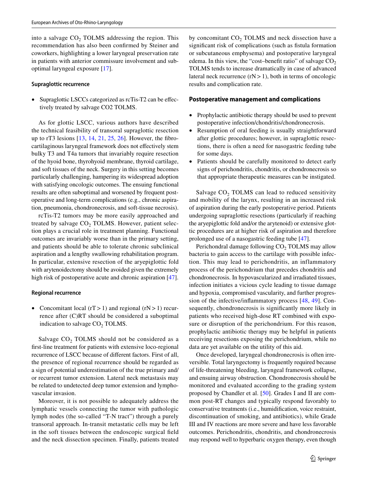into a salvage  $CO<sub>2</sub>$  TOLMS addressing the region. This recommendation has also been confrmed by Steiner and coworkers, highlighting a lower laryngeal preservation rate in patients with anterior commissure involvement and suboptimal laryngeal exposure [17].

#### **Supraglottic recurrence**

• Supraglottic LSCCs categorized as rcTis-T2 can be effectively treated by salvage CO2 TOLMS.

As for glottic LSCC, various authors have described the technical feasibility of transoral supraglottic resection up to rT3 lesions [13, 14, 21, 25, 26]. However, the fbrocartilaginous laryngeal framework does not efectively stem bulky T3 and T4a tumors that invariably require resection of the hyoid bone, thyrohyoid membrane, thyroid cartilage, and soft tissues of the neck. Surgery in this setting becomes particularly challenging, hampering its widespread adoption with satisfying oncologic outcomes. The ensuing functional results are often suboptimal and worsened by frequent postoperative and long-term complications (e.g., chronic aspiration, pneumonia, chondronecrosis, and soft-tissue necrosis).

rcTis-T2 tumors may be more easily approached and treated by salvage  $CO<sub>2</sub>$  TOLMS. However, patient selection plays a crucial role in treatment planning. Functional outcomes are invariably worse than in the primary setting, and patients should be able to tolerate chronic subclinical aspiration and a lengthy swallowing rehabilitation program. In particular, extensive resection of the aryepiglottic fold with arytenoidectomy should be avoided given the extremely high risk of postoperative acute and chronic aspiration [47].

#### **Regional recurrence**

• Concomitant local  $(rT>1)$  and regional  $(rN>1)$  recurrence after (C)RT should be considered a suboptimal indication to salvage CO<sub>2</sub> TOLMS.

Salvage  $CO<sub>2</sub>$  TOLMS should not be considered as a frst-line treatment for patients with extensive loco-regional recurrence of LSCC because of diferent factors. First of all, the presence of regional recurrence should be regarded as a sign of potential underestimation of the true primary and/ or recurrent tumor extension. Lateral neck metastasis may be related to undetected deep tumor extension and lymphovascular invasion.

Moreover, it is not possible to adequately address the lymphatic vessels connecting the tumor with pathologic lymph nodes (the so-called "T-N tract") through a purely transoral approach. In-transit metastatic cells may be left in the soft tissues between the endoscopic surgical feld and the neck dissection specimen. Finally, patients treated by concomitant  $CO<sub>2</sub>$  TOLMS and neck dissection have a significant risk of complications (such as fistula formation or subcutaneous emphysema) and postoperative laryngeal edema. In this view, the "cost-benefit ratio" of salvage  $CO<sub>2</sub>$ TOLMS tends to increase dramatically in case of advanced lateral neck recurrence  $(rN>1)$ , both in terms of oncologic results and complication rate.

#### **Postoperative management and complications**

- Prophylactic antibiotic therapy should be used to prevent postoperative infection/chondritis/chondronecrosis.
- Resumption of oral feeding is usually straightforward after glottic procedures; however, in supraglottic resections, there is often a need for nasogastric feeding tube for some days.
- Patients should be carefully monitored to detect early signs of perichondritis, chondritis, or chondronecrosis so that appropriate therapeutic measures can be instigated.

Salvage  $CO<sub>2</sub>$  TOLMS can lead to reduced sensitivity and mobility of the larynx, resulting in an increased risk of aspiration during the early postoperative period. Patients undergoing supraglottic resections (particularly if reaching the aryepiglottic fold and/or the arytenoid) or extensive glottic procedures are at higher risk of aspiration and therefore prolonged use of a nasogastric feeding tube [47].

Perichondral damage following  $CO<sub>2</sub>$  TOLMS may allow bacteria to gain access to the cartilage with possible infection. This may lead to perichondritis, an inflammatory process of the perichondrium that precedes chondritis and chondronecrosis. In hypovascularized and irradiated tissues, infection initiates a vicious cycle leading to tissue damage and hypoxia, compromised vascularity, and further progression of the infective/infammatory process [48, 49]. Consequently, chondronecrosis is signifcantly more likely in patients who received high-dose RT combined with exposure or disruption of the perichondrium. For this reason, prophylactic antibiotic therapy may be helpful in patients receiving resections exposing the perichondrium, while no data are yet available on the utility of this aid.

Once developed, laryngeal chondronecrosis is often irreversible. Total laryngectomy is frequently required because of life-threatening bleeding, laryngeal framework collapse, and ensuing airway obstruction. Chondronecrosis should be monitored and evaluated according to the grading system proposed by Chandler et al. [50]. Grades I and II are common post-RT changes and typically respond favorably to conservative treatments (i.e., humidifcation, voice restraint, discontinuation of smoking, and antibiotics), while Grade III and IV reactions are more severe and have less favorable outcomes. Perichondritis, chondritis, and chondronecrosis may respond well to hyperbaric oxygen therapy, even though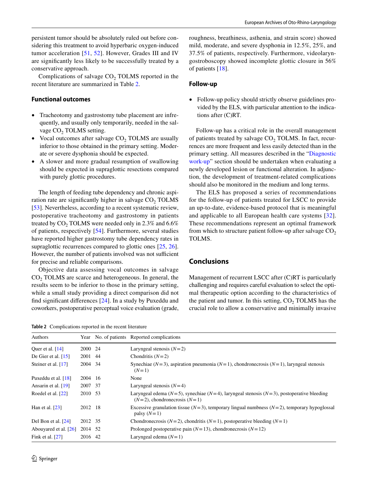Complications of salvage  $CO<sub>2</sub>$  TOLMS reported in the recent literature are summarized in Table 2.

### **Functional outcomes**

- Tracheotomy and gastrostomy tube placement are infrequently, and usually only temporarily, needed in the salvage CO<sub>2</sub> TOLMS setting.
- Vocal outcomes after salvage  $CO<sub>2</sub>$  TOLMS are usually inferior to those obtained in the primary setting. Moderate or severe dysphonia should be expected.
- A slower and more gradual resumption of swallowing should be expected in supraglottic resections compared with purely glottic procedures.

The length of feeding tube dependency and chronic aspiration rate are significantly higher in salvage  $CO<sub>2</sub> TOLMS$ [53]. Nevertheless, according to a recent systematic review, postoperative tracheotomy and gastrostomy in patients treated by  $CO<sub>2</sub>$  TOLMS were needed only in 2.3% and 6.6% of patients, respectively [54]. Furthermore, several studies have reported higher gastrostomy tube dependency rates in supraglottic recurrences compared to glottic ones [25, 26]. However, the number of patients involved was not sufficient for precise and reliable comparisons.

Objective data assessing vocal outcomes in salvage CO<sub>2</sub> TOLMS are scarce and heterogeneous. In general, the results seem to be inferior to those in the primary setting, while a small study providing a direct comparison did not fnd signifcant diferences [24]. In a study by Puxeddu and coworkers, postoperative perceptual voice evaluation (grade,

**Table 2** Complications reported in the recent literature

roughness, breathiness, asthenia, and strain score) showed mild, moderate, and severe dysphonia in 12.5%, 25%, and 37.5% of patients, respectively. Furthermore, videolaryngostroboscopy showed incomplete glottic closure in 56% of patients [18].

### **Follow‑up**

• Follow-up policy should strictly observe guidelines provided by the ELS, with particular attention to the indications after (C)RT.

Follow-up has a critical role in the overall management of patients treated by salvage  $CO<sub>2</sub>$  TOLMS. In fact, recurrences are more frequent and less easily detected than in the primary setting. All measures described in the "Diagnostic work-up" section should be undertaken when evaluating a newly developed lesion or functional alteration. In adjunction, the development of treatment-related complications should also be monitored in the medium and long terms.

The ELS has proposed a series of recommendations for the follow-up of patients treated for LSCC to provide an up-to-date, evidence-based protocol that is meaningful and applicable to all European health care systems [32]. These recommendations represent an optimal framework from which to structure patient follow-up after salvage  $CO<sub>2</sub>$ TOLMS.

## **Conclusions**

Management of recurrent LSCC after (C)RT is particularly challenging and requires careful evaluation to select the optimal therapeutic option according to the characteristics of the patient and tumor. In this setting,  $CO<sub>2</sub> TOLMS$  has the crucial role to allow a conservative and minimally invasive

| Authors               |         | Year No. of patients Reported complications                                                                                               |
|-----------------------|---------|-------------------------------------------------------------------------------------------------------------------------------------------|
| Quer et al. $[14]$    | 2000 24 | Laryngeal stenosis $(N=2)$                                                                                                                |
| De Gier et al. $[15]$ | 2001 44 | Chondritis $(N=2)$                                                                                                                        |
| Steiner et al. [17]   | 2004 34 | Synechiae ( $N=3$ ), aspiration pneumonia ( $N=1$ ), chondronecrosis ( $N=1$ ), laryngeal stenosis<br>$(N=1)$                             |
| Puxeddu et al. $[18]$ | 2004 16 | None                                                                                                                                      |
| Ansarin et al. $[19]$ | 2007 37 | Laryngeal stenosis $(N=4)$                                                                                                                |
| Roedel et al. [22]    | 2010 53 | Laryngeal edema ( $N=5$ ), synechiae ( $N=4$ ), laryngeal stenosis ( $N=3$ ), postoperative bleeding<br>$(N=2)$ , chondronecrosis $(N=1)$ |
| Han et al. $[23]$     | 2012 18 | Excessive granulation tissue ( $N=3$ ), temporary lingual numbness ( $N=2$ ), temporary hypoglossal<br>palsy $(N=1)$                      |
| Del Bon et al. [24]   | 2012 35 | Chondronecrosis ( $N=2$ ), chondritis ( $N=1$ ), postoperative bleeding ( $N=1$ )                                                         |
| Abouyared et al. [26] | 2014 52 | Prolonged postoperative pain $(N=13)$ , chondronecrosis $(N=12)$                                                                          |
| Fink et al. $[27]$    | 2016 42 | Laryngeal edema $(N=1)$                                                                                                                   |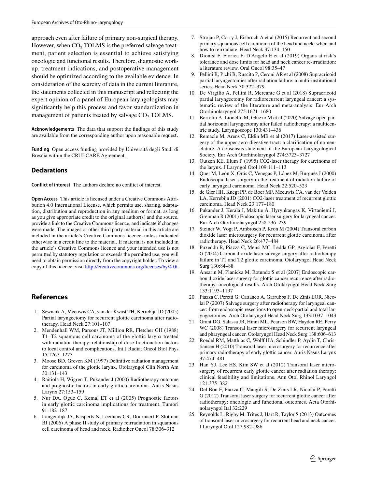approach even after failure of primary non-surgical therapy. However, when  $CO<sub>2</sub>$  TOLMS is the preferred salvage treatment, patient selection is essential to achieve satisfying oncologic and functional results. Therefore, diagnostic workup, treatment indications, and postoperative management should be optimized according to the available evidence. In consideration of the scarcity of data in the current literature, the statements collected in this manuscript and refecting the expert opinion of a panel of European laryngologists may signifcantly help this process and favor standardization in management of patients treated by salvage  $CO<sub>2</sub> TOLMS$ .

**Acknowledgements** The data that support the fndings of this study are available from the corresponding author upon reasonable request**.**

**Funding** Open access funding provided by Università degli Studi di Brescia within the CRUI-CARE Agreement.

#### **Declarations**

**Conflict of interest** The authors declare no confict of interest.

**Open Access** This article is licensed under a Creative Commons Attribution 4.0 International License, which permits use, sharing, adaptation, distribution and reproduction in any medium or format, as long as you give appropriate credit to the original author(s) and the source, provide a link to the Creative Commons licence, and indicate if changes were made. The images or other third party material in this article are included in the article's Creative Commons licence, unless indicated otherwise in a credit line to the material. If material is not included in the article's Creative Commons licence and your intended use is not permitted by statutory regulation or exceeds the permitted use, you will need to obtain permission directly from the copyright holder. To view a copy of this licence, visit <http://creativecommons.org/licenses/by/4.0/>.

### **References**

- 1. Sewnaik A, Meeuwis CA, van der Kwast TH, Kerrebijn JD (2005) Partial laryngectomy for recurrent glottic carcinoma after radiotherapy. Head Neck 27:101–107
- 2. Mendenhall WM, Parsons JT, Million RR, Fletcher GH (1988) T1–T2 squamous cell carcinoma of the glottic larynx treated with radiation therapy: relationship of dose-fractionation factors to local control and complications. Int J Radiat Oncol Biol Phys 15:1267–1273
- 3. Moose BD, Greven KM (1997) Defnitive radiation management for carcinoma of the glottic larynx. Otolaryngol Clin North Am 30:131–143
- 4. Raitiola H, Wigren T, Pukander J (2000) Radiotherapy outcome and prognostic factors in early glottic carcinoma. Auris Nasus Larynx 27:153–159
- 5. Nur DA, Oguz C, Kemal ET et al (2005) Prognostic factors in early glottic carcinoma implications for treatment. Tumori 91:182–187
- 6. Langendijk JA, Kasperts N, Leemans CR, Doornaert P, Slotman BJ (2006) A phase II study of primary reirradiation in squamous cell carcinoma of head and neck. Radiother Oncol 78:306–312
- 7. Strojan P, Corry J, Eisbruch A et al (2015) Recurrent and second primary squamous cell carcinoma of the head and neck: when and how to reirradiate. Head Neck 37:134–150
- 8. Dionisi F, Fiorica F, D'Angelo E et al (2019) Organs at risk's tolerance and dose limits for head and neck cancer re-irradiation: a literature review. Oral Oncol 98:35–47
- 9. Pellini R, Pichi B, Ruscito P, Ceroni AR et al (2008) Supracricoid partial laryngectomies after radiation failure: a multi-institutional series. Head Neck 30:372–379
- 10. De Virgilio A, Pellini R, Mercante G et al (2018) Supracricoid partial laryngectomy for radiorecurrent laryngeal cancer: a systematic review of the literature and meta-analysis. Eur Arch Otorhinolaryngol 275:1671–1680
- 11. Bertolin A, Lionello M, Ghizzo M et al (2020) Salvage open partial horizontal laryngectomy after failed radiotherapy: a multicentric study. Laryngoscope 130:431–436
- 12. Remacle M, Arens C, Eldin MB et al (2017) Laser-assisted surgery of the upper aero-digestive tract: a clarifcation of nomenclature. A consensus statement of the European Laryngological Society. Eur Arch Otorhinolaryngol 274:3723–3727
- 13. Outzen KE, Illum P (1995) CO2-laser therapy for carcinoma of the larynx. J Laryngol Otol 109:111–113
- 14. Quer M, León X, Orús C, Venegas P, López M, Burgués J (2000) Endoscopic laser surgery in the treatment of radiation failure of early laryngeal carcinoma. Head Neck 22:520–523
- 15. de Gier HH, Knegt PP, de Boer MF, Meeuwis CA, van der Velden LA, Kerrebijn JD (2001) CO2-laser treatment of recurrent glottic carcinoma. Head Neck 23:177–180
- 16. Pukander J, Kerälä J, Mäkitie A, Hyrynkangas K, Virtaniemi J, Grenman R (2001) Endoscopic laser surgery for laryngeal cancer. Eur Arch Otorhinolaryngol 258:236–239
- 17. Steiner W, Vogt P, Ambrosch P, Kron M (2004) Transoral carbon dioxide laser microsurgery for recurrent glottic carcinoma after radiotherapy. Head Neck 26:477–484
- 18. Puxeddu R, Piazza C, Mensi MC, Ledda GP, Argiolas F, Peretti G (2004) Carbon dioxide laser salvage surgery after radiotherapy failure in T1 and T2 glottic carcinoma. Otolaryngol Head Neck Surg 130:84–88
- 19. Ansarin M, Planicka M, Rotundo S et al (2007) Endoscopic carbon dioxide laser surgery for glottic cancer recurrence after radiotherapy: oncological results. Arch Otolaryngol Head Neck Surg 133:1193–1197
- 20. Piazza C, Peretti G, Cattaneo A, Garrubba F, De Zinis LOR, Nicolai P (2007) Salvage surgery after radiotherapy for laryngeal cancer: from endoscopic resections to open-neck partial and total laryngectomies. Arch Otolaryngol Head Neck Surg 133:1037–1043
- 21. Grant DG, Salassa JR, Hinni ML, Pearson BW, Hayden RE, Perry WC (2008) Transoral laser microsurgery for recurrent laryngeal and pharyngeal cancer. Otolaryngol Head Neck Surg 138:606–613
- 22. Roedel RM, Matthias C, Wolf HA, Schindler P, Aydin T, Christiansen H (2010) Transoral laser microsurgery for recurrence after primary radiotherapy of early glottic cancer. Auris Nasus Larynx 37:474–481
- 23. Han YJ, Lee HS, Kim SW et al (2012) Transoral laser microsurgery of recurrent early glottic cancer after radiation therapy: clinical feasibility and limitations. Ann Otol Rhinol Laryngol 121:375–382
- 24. Del Bon F, Piazza C, Mangili S, De Zinis LR, Nicolai P, Peretti G (2012) Transoral laser surgery for recurrent glottic cancer after radiotherapy: oncologic and functional outcomes. Acta Otorhinolaryngol Ital 32:229
- 25. Reynolds L, Rigby M, Trites J, Hart R, Taylor S (2013) Outcomes of transoral laser microsurgery for recurrent head and neck cancer. J Laryngol Otol 127:982–986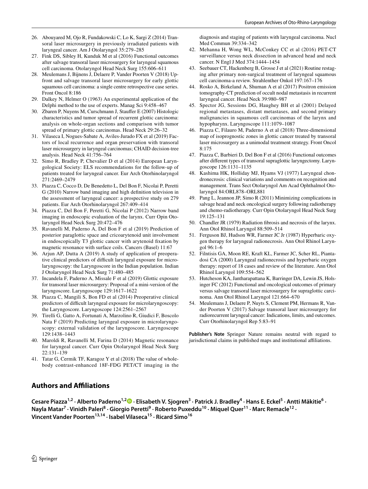- 26. Abouyared M, Ojo R, Fundakowski C, Lo K, Sargi Z (2014) Transoral laser microsurgery in previously irradiated patients with laryngeal cancer. Am J Otolaryngol 35:279–285
- 27. Fink DS, Sibley H, Kunduk M et al (2016) Functional outcomes after salvage transoral laser microsurgery for laryngeal squamous cell carcinoma. Otolaryngol Head Neck Surg 155:606–611
- 28. Meulemans J, Bijnens J, Delaere P, Vander Poorten V (2018) Upfront and salvage transoral laser microsurgery for early glottic squamous cell carcinoma: a single centre retrospective case series. Front Oncol 8:186
- 29. Dalkey N, Helmer O (1963) An experimental application of the Delphi method to the use of experts. Manag Sci 9:458–467
- 30. Zbaren P, Nuyens M, Curschmann J, Staufer E (2007) Histologic characteristics and tumor spread of recurrent glottic carcinoma: analysis on whole-organ sections and comparison with tumor spread of primary glottic carcinomas. Head Neck 29:26–32
- 31. Vilaseca I, Nogues-Sabate A, Aviles-Jurado FX et al (2019) Factors of local recurrence and organ preservation with transoral laser microsurgery in laryngeal carcinomas; CHAID decision-tree analysis. Head Neck 41:756–764
- 32. Simo R, Bradley P, Chevalier D et al (2014) European Laryngological Society: ELS recommendations for the follow-up of patients treated for laryngeal cancer. Eur Arch Otorhinolaryngol 271:2469–2479
- 33. Piazza C, Cocco D, De Benedetto L, Del Bon F, Nicolai P, Peretti G (2010) Narrow band imaging and high defnition television in the assessment of laryngeal cancer: a prospective study on 279 patients. Eur Arch Otorhinolaryngol 267:409–414
- 34. Piazza C, Del Bon F, Peretti G, Nicolai P (2012) Narrow band imaging in endoscopic evaluation of the larynx. Curr Opin Otolaryngol Head Neck Surg 20:472–476
- 35. Ravanelli M, Paderno A, Del Bon F et al (2019) Prediction of posterior paraglottic space and cricoarytenoid unit involvement in endoscopically T3 glottic cancer with arytenoid fxation by magnetic resonance with surface coils. Cancers (Basel) 11:67
- 36. Arjun AP, Dutta A (2019) A study of application of preoperative clinical predictors of difficult laryngeal exposure for microlaryngoscopy: the Laryngoscore in the Indian population. Indian J Otolaryngol Head Neck Surg 71:480–485
- 37. Incandela F, Paderno A, Missale F et al (2019) Glottic exposure for transoral laser microsurgery: Proposal of a mini-version of the laryngoscore. Laryngoscope 129:1617–1622
- 38. Piazza C, Mangili S, Bon FD et al (2014) Preoperative clinical predictors of difficult laryngeal exposure for microlaryngoscopy: the Laryngoscore. Laryngoscope 124:2561–2567
- 39. Tirelli G, Gatto A, Fortunati A, Marzolino R, Giudici F, Boscolo Nata F (2019) Predicting laryngeal exposure in microlaryngoscopy: external validation of the laryngoscore. Laryngoscope 129:1438–1443
- 40. Maroldi R, Ravanelli M, Farina D (2014) Magnetic resonance for laryngeal cancer. Curr Opin Otolaryngol Head Neck Surg 22:131–139
- 41. Tatar G, Cermik TF, Karagoz Y et al (2018) The value of wholebody contrast-enhanced 18F-FDG PET/CT imaging in the

diagnosis and staging of patients with laryngeal carcinoma. Nucl Med Commun 39:334–342

- 42. Mehanna H, Wong WL, McConkey CC et al (2016) PET-CT surveillance versus neck dissection in advanced head and neck cancer. N Engl J Med 374:1444–1454
- 43. Seebauer CT, Hackenberg B, Grosse J et al (2021) Routine restaging after primary non-surgical treatment of laryngeal squamous cell carcinoma-a review. Strahlenther Onkol 197:167–176
- 44. Rosko A, Birkeland A, Shuman A et al (2017) Positron emission tomography-CT prediction of occult nodal metastasis in recurrent laryngeal cancer. Head Neck 39:980–987
- 45. Spector JG, Sessions DG, Haughey BH et al (2001) Delayed regional metastases, distant metastases, and second primary malignancies in squamous cell carcinomas of the larynx and hypopharynx. Laryngoscope 111:1079–1087
- 46. Piazza C, Filauro M, Paderno A et al (2018) Three-dimensional map of isoprognostic zones in glottic cancer treated by transoral laser microsurgery as a unimodal treatment strategy. Front Oncol 8:175
- 47. Piazza C, Barbieri D, Del Bon F et al (2016) Functional outcomes after diferent types of transoral supraglottic laryngectomy. Laryngoscope 126:1131–1135
- 48. Kashima HK, Holliday MJ, Hyams VJ (1977) Laryngeal chondronecrosis: clinical variations and comments on recognition and management. Trans Sect Otolaryngol Am Acad Ophthalmol Otolaryngol 84:ORL878–ORL881
- 49. Pang L, Jeannon JP, Simo R (2011) Minimizing complications in salvage head and neck oncological surgery following radiotherapy and chemo-radiotherapy. Curr Opin Otolaryngol Head Neck Surg 19:125–131
- 50. Chandler JR (1979) Radiation fbrosis and necrosis of the larynx. Ann Otol Rhinol Laryngol 88:509–514
- 51. Ferguson BJ, Hudson WR, Farmer JC Jr (1987) Hyperbaric oxygen therapy for laryngeal radionecrosis. Ann Otol Rhinol Laryngol 96:1–6
- 52. Filntisis GA, Moon RE, Kraft KL, Farmer JC, Scher RL, Piantadosi CA (2000) Laryngeal radionecrosis and hyperbaric oxygen therapy: report of 18 cases and review of the literature. Ann Otol Rhinol Laryngol 109:554–562
- 53. Hutcheson KA, Jantharapattana K, Barringer DA, Lewin JS, Holsinger FC (2012) Functional and oncological outcomes of primary versus salvage transoral laser microsurgery for supraglottic carcinoma. Ann Otol Rhinol Laryngol 121:664–670
- 54. Meulemans J, Delaere P, Nuyts S, Clement PM, Hermans R, Vander Poorten V (2017) Salvage transoral laser microsurgery for radiorecurrent laryngeal cancer: Indications, limits, and outcomes. Curr Otorhinolaryngol Rep 5:83–91

**Publisher's Note** Springer Nature remains neutral with regard to jurisdictional claims in published maps and institutional affiliations.

# **Authors and Afliations**

Cesare Piazza<sup>1,2</sup> [·](http://orcid.org/0000-0002-1621-2142) Alberto Paderno<sup>1,2</sup> D · Elisabeth V. Sjogren<sup>3</sup> · Patrick J. Bradley<sup>4</sup> · Hans E. Eckel<sup>5</sup> · Antti Mäkitie<sup>6</sup> · Nayla Matar<sup>7</sup> • Vinidh Paleri<sup>8</sup> • Giorgio Peretti<sup>9</sup> • Roberto Puxeddu<sup>10</sup> • Miquel Quer<sup>11</sup> • Marc Remacle<sup>12</sup> • **Vincent Vander Poorten13,14 · Isabel Vilaseca15 · Ricard Simo16**